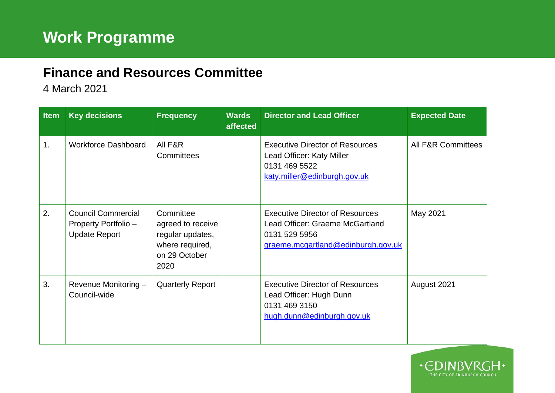## **Finance and Resources Committee**

4 March 2021

| <b>Item</b> | <b>Key decisions</b>                                                      | <b>Frequency</b>                                                                               | <b>Wards</b><br>affected | <b>Director and Lead Officer</b>                                                                                                 | <b>Expected Date</b>          |
|-------------|---------------------------------------------------------------------------|------------------------------------------------------------------------------------------------|--------------------------|----------------------------------------------------------------------------------------------------------------------------------|-------------------------------|
| 1.          | <b>Workforce Dashboard</b>                                                | All F&R<br>Committees                                                                          |                          | <b>Executive Director of Resources</b><br>Lead Officer: Katy Miller<br>0131 469 5522<br>katy.miller@edinburgh.gov.uk             | <b>All F&amp;R Committees</b> |
| 2.          | <b>Council Commercial</b><br>Property Portfolio -<br><b>Update Report</b> | Committee<br>agreed to receive<br>regular updates,<br>where required,<br>on 29 October<br>2020 |                          | <b>Executive Director of Resources</b><br>Lead Officer: Graeme McGartland<br>0131 529 5956<br>graeme.mcgartland@edinburgh.gov.uk | May 2021                      |
| 3.          | Revenue Monitoring -<br>Council-wide                                      | <b>Quarterly Report</b>                                                                        |                          | <b>Executive Director of Resources</b><br>Lead Officer: Hugh Dunn<br>0131 469 3150<br>hugh.dunn@edinburgh.gov.uk                 | August 2021                   |

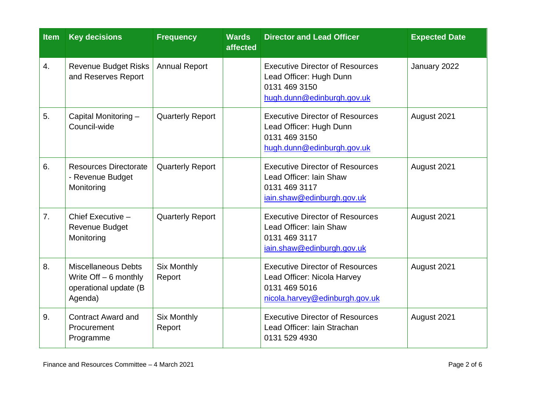| <b>Item</b>    | <b>Key decisions</b>                                                                      | <b>Frequency</b>             | <b>Wards</b><br>affected                                                                                         | <b>Director and Lead Officer</b>                                                                                         | <b>Expected Date</b> |
|----------------|-------------------------------------------------------------------------------------------|------------------------------|------------------------------------------------------------------------------------------------------------------|--------------------------------------------------------------------------------------------------------------------------|----------------------|
| 4.             | <b>Revenue Budget Risks</b><br>and Reserves Report                                        | <b>Annual Report</b>         |                                                                                                                  | <b>Executive Director of Resources</b><br>Lead Officer: Hugh Dunn<br>0131 469 3150<br>hugh.dunn@edinburgh.gov.uk         | January 2022         |
| 5.             | Capital Monitoring -<br>Council-wide                                                      | <b>Quarterly Report</b>      | <b>Executive Director of Resources</b><br>Lead Officer: Hugh Dunn<br>0131 469 3150<br>hugh.dunn@edinburgh.gov.uk |                                                                                                                          | August 2021          |
| 6.             | <b>Resources Directorate</b><br>- Revenue Budget<br>Monitoring                            | <b>Quarterly Report</b>      |                                                                                                                  | <b>Executive Director of Resources</b><br>Lead Officer: Iain Shaw<br>0131 469 3117<br>iain.shaw@edinburgh.gov.uk         | August 2021          |
| 7 <sub>1</sub> | Chief Executive -<br><b>Revenue Budget</b><br>Monitoring                                  | <b>Quarterly Report</b>      |                                                                                                                  | <b>Executive Director of Resources</b><br>Lead Officer: Iain Shaw<br>0131 469 3117<br>iain.shaw@edinburgh.gov.uk         | August 2021          |
| 8.             | <b>Miscellaneous Debts</b><br>Write $Off - 6$ monthly<br>operational update (B<br>Agenda) | <b>Six Monthly</b><br>Report |                                                                                                                  | <b>Executive Director of Resources</b><br>Lead Officer: Nicola Harvey<br>0131 469 5016<br>nicola.harvey@edinburgh.gov.uk | August 2021          |
| 9.             | <b>Contract Award and</b><br>Procurement<br>Programme                                     | <b>Six Monthly</b><br>Report |                                                                                                                  | <b>Executive Director of Resources</b><br>Lead Officer: Iain Strachan<br>0131 529 4930                                   | August 2021          |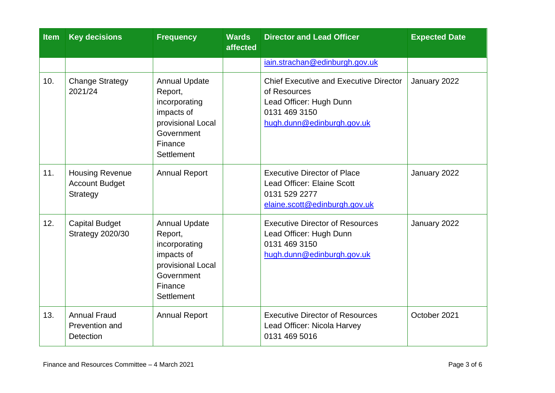| <b>Item</b> | <b>Key decisions</b>                                        | <b>Frequency</b>                                                                                                                  | <b>Wards</b><br>affected | <b>Director and Lead Officer</b>                                                                                                        | <b>Expected Date</b> |
|-------------|-------------------------------------------------------------|-----------------------------------------------------------------------------------------------------------------------------------|--------------------------|-----------------------------------------------------------------------------------------------------------------------------------------|----------------------|
|             |                                                             |                                                                                                                                   |                          | iain.strachan@edinburgh.gov.uk                                                                                                          |                      |
| 10.         | <b>Change Strategy</b><br>2021/24                           | <b>Annual Update</b><br>Report,<br>incorporating<br>impacts of<br>provisional Local<br>Government<br>Finance<br>Settlement        |                          | <b>Chief Executive and Executive Director</b><br>of Resources<br>Lead Officer: Hugh Dunn<br>0131 469 3150<br>hugh.dunn@edinburgh.gov.uk | January 2022         |
| 11.         | <b>Housing Revenue</b><br><b>Account Budget</b><br>Strategy | <b>Annual Report</b>                                                                                                              |                          | <b>Executive Director of Place</b><br><b>Lead Officer: Elaine Scott</b><br>0131 529 2277<br>elaine.scott@edinburgh.gov.uk               | January 2022         |
| 12.         | <b>Capital Budget</b><br><b>Strategy 2020/30</b>            | <b>Annual Update</b><br>Report,<br>incorporating<br>impacts of<br>provisional Local<br>Government<br>Finance<br><b>Settlement</b> |                          | <b>Executive Director of Resources</b><br>Lead Officer: Hugh Dunn<br>0131 469 3150<br>hugh.dunn@edinburgh.gov.uk                        | January 2022         |
| 13.         | <b>Annual Fraud</b><br>Prevention and<br><b>Detection</b>   | <b>Annual Report</b>                                                                                                              |                          | <b>Executive Director of Resources</b><br>Lead Officer: Nicola Harvey<br>0131 469 5016                                                  | October 2021         |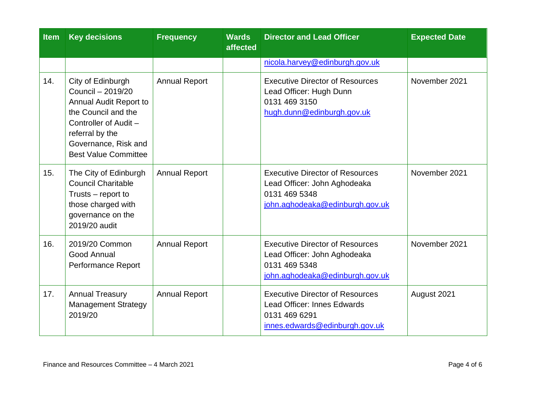| <b>Item</b> | <b>Key decisions</b>                                                                                                                                                                       | <b>Frequency</b>     | <b>Wards</b><br>affected | <b>Director and Lead Officer</b>                                                                                           | <b>Expected Date</b> |
|-------------|--------------------------------------------------------------------------------------------------------------------------------------------------------------------------------------------|----------------------|--------------------------|----------------------------------------------------------------------------------------------------------------------------|----------------------|
|             |                                                                                                                                                                                            |                      |                          | nicola.harvey@edinburgh.gov.uk                                                                                             |                      |
| 14.         | City of Edinburgh<br>Council - 2019/20<br>Annual Audit Report to<br>the Council and the<br>Controller of Audit -<br>referral by the<br>Governance, Risk and<br><b>Best Value Committee</b> | <b>Annual Report</b> |                          | <b>Executive Director of Resources</b><br>Lead Officer: Hugh Dunn<br>0131 469 3150<br>hugh.dunn@edinburgh.gov.uk           | November 2021        |
| 15.         | The City of Edinburgh<br><b>Council Charitable</b><br>Trusts – report to<br>those charged with<br>governance on the<br>2019/20 audit                                                       | <b>Annual Report</b> |                          | <b>Executive Director of Resources</b><br>Lead Officer: John Aghodeaka<br>0131 469 5348<br>john.aghodeaka@edinburgh.gov.uk | November 2021        |
| 16.         | 2019/20 Common<br>Good Annual<br>Performance Report                                                                                                                                        | <b>Annual Report</b> |                          | <b>Executive Director of Resources</b><br>Lead Officer: John Aghodeaka<br>0131 469 5348<br>john.aghodeaka@edinburgh.gov.uk | November 2021        |
| 17.         | <b>Annual Treasury</b><br><b>Management Strategy</b><br>2019/20                                                                                                                            | <b>Annual Report</b> |                          | <b>Executive Director of Resources</b><br>Lead Officer: Innes Edwards<br>0131 469 6291<br>innes.edwards@edinburgh.gov.uk   | August 2021          |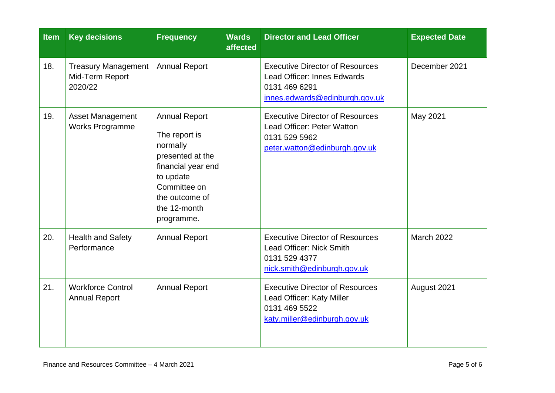| <b>Item</b> | <b>Key decisions</b>                                     | <b>Frequency</b>                                                                                                                                                         | <b>Wards</b><br>affected | <b>Director and Lead Officer</b>                                                                                                | <b>Expected Date</b> |
|-------------|----------------------------------------------------------|--------------------------------------------------------------------------------------------------------------------------------------------------------------------------|--------------------------|---------------------------------------------------------------------------------------------------------------------------------|----------------------|
| 18.         | <b>Treasury Management</b><br>Mid-Term Report<br>2020/22 | <b>Annual Report</b>                                                                                                                                                     |                          | <b>Executive Director of Resources</b><br><b>Lead Officer: Innes Edwards</b><br>0131 469 6291<br>innes.edwards@edinburgh.gov.uk | December 2021        |
| 19.         | <b>Asset Management</b><br><b>Works Programme</b>        | <b>Annual Report</b><br>The report is<br>normally<br>presented at the<br>financial year end<br>to update<br>Committee on<br>the outcome of<br>the 12-month<br>programme. |                          | <b>Executive Director of Resources</b><br>Lead Officer: Peter Watton<br>0131 529 5962<br>peter.watton@edinburgh.gov.uk          | May 2021             |
| 20.         | <b>Health and Safety</b><br>Performance                  | <b>Annual Report</b>                                                                                                                                                     |                          | <b>Executive Director of Resources</b><br>Lead Officer: Nick Smith<br>0131 529 4377<br>nick.smith@edinburgh.gov.uk              | <b>March 2022</b>    |
| 21.         | <b>Workforce Control</b><br><b>Annual Report</b>         | <b>Annual Report</b>                                                                                                                                                     |                          | <b>Executive Director of Resources</b><br>Lead Officer: Katy Miller<br>0131 469 5522<br>katy.miller@edinburgh.gov.uk            | August 2021          |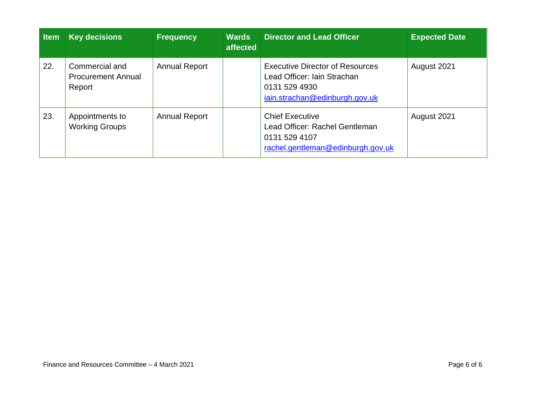| <b>Item</b> | <b>Key decisions</b>                                  | <b>Frequency</b>     | <b>Wards</b><br>affected | <b>Director and Lead Officer</b>                                                                                         | <b>Expected Date</b> |
|-------------|-------------------------------------------------------|----------------------|--------------------------|--------------------------------------------------------------------------------------------------------------------------|----------------------|
| 22.         | Commercial and<br><b>Procurement Annual</b><br>Report | <b>Annual Report</b> |                          | <b>Executive Director of Resources</b><br>Lead Officer: Iain Strachan<br>0131 529 4930<br>jain.strachan@edinburgh.gov.uk | August 2021          |
| 23.         | Appointments to<br><b>Working Groups</b>              | <b>Annual Report</b> |                          | <b>Chief Executive</b><br>Lead Officer: Rachel Gentleman<br>0131 529 4107<br>rachel.gentleman@edinburgh.gov.uk           | August 2021          |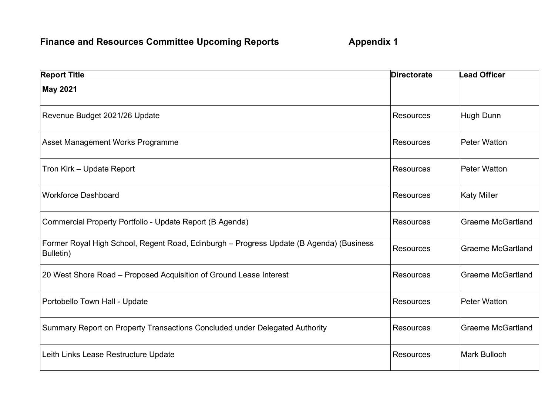## **Finance and Resources Committee Upcoming Reports 6 Appendix 1**

| <b>Report Title</b>                                                                                  | <b>Directorate</b> | <b>Lead Officer</b>      |
|------------------------------------------------------------------------------------------------------|--------------------|--------------------------|
| <b>May 2021</b>                                                                                      |                    |                          |
| Revenue Budget 2021/26 Update                                                                        | <b>Resources</b>   | Hugh Dunn                |
| Asset Management Works Programme                                                                     | <b>Resources</b>   | <b>Peter Watton</b>      |
| Tron Kirk - Update Report                                                                            | <b>Resources</b>   | <b>Peter Watton</b>      |
| <b>Workforce Dashboard</b>                                                                           | <b>Resources</b>   | <b>Katy Miller</b>       |
| Commercial Property Portfolio - Update Report (B Agenda)                                             | <b>Resources</b>   | <b>Graeme McGartland</b> |
| Former Royal High School, Regent Road, Edinburgh - Progress Update (B Agenda) (Business<br>Bulletin) | Resources          | <b>Graeme McGartland</b> |
| 20 West Shore Road - Proposed Acquisition of Ground Lease Interest                                   | <b>Resources</b>   | <b>Graeme McGartland</b> |
| Portobello Town Hall - Update                                                                        | <b>Resources</b>   | <b>Peter Watton</b>      |
| Summary Report on Property Transactions Concluded under Delegated Authority                          | <b>Resources</b>   | <b>Graeme McGartland</b> |
| Leith Links Lease Restructure Update                                                                 | <b>Resources</b>   | <b>Mark Bulloch</b>      |